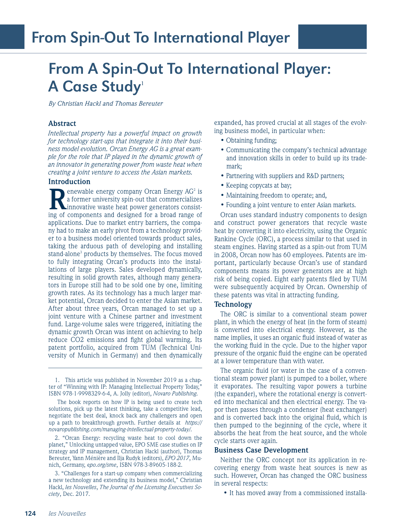# From A Spin-Out To International Player: A Case Study1

*By Christian Hackl and Thomas Bereuter*

## **Abstract**

*Intellectual property has a powerful impact on growth for technology start-ups that integrate it into their business model evolution. Orcan Energy AG is a great example for the role that IP played in the dynamic growth of an innovator in generating power from waste heat when creating a joint venture to access the Asian markets.* 

#### **Introduction**

**Renewable energy company Orcan Energy AG<sup>2</sup> is<br>a former university spin-out that commercializes<br>innovative waste heat power generators consist-<br>ing of components and designed for a broad range of** a former university spin-out that commercializes innovative waste heat power generators consisting of components and designed for a broad range of applications. Due to market entry barriers, the company had to make an early pivot from a technology provider to a business model oriented towards product sales, taking the arduous path of developing and installing stand-alone<sup>3</sup> products by themselves. The focus moved to fully integrating Orcan's products into the installations of large players. Sales developed dynamically, resulting in solid growth rates, although many generators in Europe still had to be sold one by one, limiting growth rates. As its technology has a much larger market potential, Orcan decided to enter the Asian market. After about three years, Orcan managed to set up a joint venture with a Chinese partner and investment fund. Large-volume sales were triggered, initiating the dynamic growth Orcan was intent on achieving to help reduce CO2 emissions and fight global warming. Its patent portfolio, acquired from TUM (Technical University of Munich in Germany) and then dynamically

1. This article was published in November 2019 as a chapter of "Winning with IP: Managing Intellectual Property Today," ISBN 978-1-9998329-6-4, A. Jolly (editor), *Novaro Publishing.* 

 The book reports on how IP is being used to create tech solutions, pick up the latest thinking, take a competitive lead, negotiate the best deal, knock back any challengers and open up a path to breakthrough growth. Further details at *https:// novaropublishing.com/managing-intellectual-property-today/.* 

2. "Orcan Energy: recycling waste heat to cool down the planet," Unlocking untapped value, EPO SME case studies on IP strategy and IP management, Christian Hackl (author), Thomas Bereuter, Yann Ménière and Ilja Rudyk (editors), *EPO 2017*, Munich, Germany, e*po.org/sme*, ISBN 978-3-89605-188-2.

3. "Challenges for a start-up company when commercializing a new technology and extending its business model," Christian Hackl, *les Nouvelles*, *The Journal of the Licensing Executives Society*, Dec. 2017.

expanded, has proved crucial at all stages of the evolving business model, in particular when:

- Obtaining funding;
- Communicating the company's technical advantage and innovation skills in order to build up its trademark;
- Partnering with suppliers and R&D partners;
- Keeping copycats at bay;
- Maintaining freedom to operate; and,
- Founding a joint venture to enter Asian markets.

Orcan uses standard industry components to design and construct power generators that recycle waste heat by converting it into electricity, using the Organic Rankine Cycle (ORC), a process similar to that used in steam engines. Having started as a spin-out from TUM in 2008, Orcan now has 60 employees. Patents are important, particularly because Orcan's use of standard components means its power generators are at high risk of being copied. Eight early patents filed by TUM were subsequently acquired by Orcan. Ownership of these patents was vital in attracting funding.

#### **Technology**

The ORC is similar to a conventional steam power plant, in which the energy of heat (in the form of steam) is converted into electrical energy. However, as the name implies, it uses an organic fluid instead of water as the working fluid in the cycle. Due to the higher vapor pressure of the organic fluid the engine can be operated at a lower temperature than with water.

The organic fluid (or water in the case of a conventional steam power plant) is pumped to a boiler, where it evaporates. The resulting vapor powers a turbine (the expander), where the rotational energy is converted into mechanical and then electrical energy. The vapor then passes through a condenser (heat exchanger) and is converted back into the original fluid, which is then pumped to the beginning of the cycle, where it absorbs the heat from the heat source, and the whole cycle starts over again.

## **Business Case Development**

Neither the ORC concept nor its application in recovering energy from waste heat sources is new as such. However, Orcan has changed the ORC business in several respects:

• It has moved away from a commissioned installa-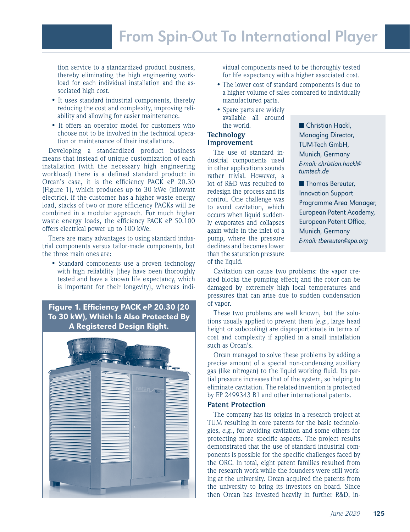tion service to a standardized product business, thereby eliminating the high engineering workload for each individual installation and the associated high cost.

- It uses standard industrial components, thereby reducing the cost and complexity, improving reliability and allowing for easier maintenance.
- It offers an operator model for customers who choose not to be involved in the technical operation or maintenance of their installations.

Developing a standardized product business means that instead of unique customization of each installation (with the necessary high engineering workload) there is a defined standard product: in Orcan's case, it is the efficiency PACK eP 20.30 (Figure 1), which produces up to 30 kWe (kilowatt electric). If the customer has a higher waste energy load, stacks of two or more efficiency PACKs will be combined in a modular approach. For much higher waste energy loads, the efficiency PACK eP 50.100 offers electrical power up to 100 kWe.

There are many advantages to using standard industrial components versus tailor-made components, but the three main ones are:

• Standard components use a proven technology with high reliability (they have been thoroughly tested and have a known life expectancy, which is important for their longevity), whereas indi-

# Figure 1. Efficiency PACK eP 20.30 (20 To 30 kW), Which Is Also Protected By A Registered Design Right.



vidual components need to be thoroughly tested for life expectancy with a higher associated cost.

- The lower cost of standard components is due to a higher volume of sales compared to individually manufactured parts.
- Spare parts are widely available all around the world.

#### **Technology Improvement**

The use of standard industrial components used in other applications sounds rather trivial. However, a lot of R&D was required to redesign the process and its control. One challenge was to avoid cavitation, which occurs when liquid suddenly evaporates and collapses again while in the inlet of a pump, where the pressure declines and becomes lower than the saturation pressure of the liquid.

■ Christian Hackl, Managing Director, TUM-Tech GmbH, Munich, Germany E-mail: christian.hackl@ tumtech.de

■ Thomas Bereuter, Innovation Support Programme Area Manager, European Patent Academy, European Patent Office, Munich, Germany E-mail: tbereuter@epo.org

Cavitation can cause two problems: the vapor created blocks the pumping effect; and the rotor can be damaged by extremely high local temperatures and pressures that can arise due to sudden condensation of vapor.

These two problems are well known, but the solutions usually applied to prevent them (*e.g.*, large head height or subcooling) are disproportionate in terms of cost and complexity if applied in a small installation such as Orcan's.

Orcan managed to solve these problems by adding a precise amount of a special non-condensing auxiliary gas (like nitrogen) to the liquid working fluid. Its partial pressure increases that of the system, so helping to eliminate cavitation. The related invention is protected by EP 2499343 B1 and other international patents.

## **Patent Protection**

The company has its origins in a research project at TUM resulting in core patents for the basic technologies, *e.g.*, for avoiding cavitation and some others for protecting more specific aspects. The project results demonstrated that the use of standard industrial components is possible for the specific challenges faced by the ORC. In total, eight patent families resulted from the research work while the founders were still working at the university. Orcan acquired the patents from the university to bring its investors on board. Since then Orcan has invested heavily in further R&D, in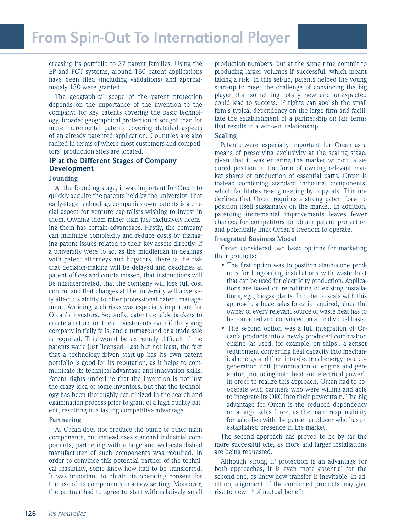creasing its portfolio to 27 patent families. Using the EP and PCT systems, around 180 patent applications have been filed (including validations) and approximately 130 were granted.

The geographical scope of the patent protection depends on the importance of the invention to the company: for key patents covering the basic technology, broader geographical protection is sought than for more incremental patents covering detailed aspects of an already patented application. Countries are also ranked in terms of where most customers and competitors' production sites are located.

# **IP at the Different Stages of Company Development**

#### **Founding**

At the founding stage, it was important for Orcan to quickly acquire the patents held by the university. That early-stage technology companies own patents is a crucial aspect for venture capitalists wishing to invest in them. Owning them rather than just exclusively licensing them has certain advantages. Firstly, the company can minimize complexity and reduce costs by managing patent issues related to their key assets directly. If a university were to act as the middleman in dealings with patent attorneys and litigators, there is the risk that decision-making will be delayed and deadlines at patent offices and courts missed, that instructions will be misinterpreted, that the company will lose full cost control and that changes at the university will adversely affect its ability to offer professional patent management. Avoiding such risks was especially important for Orcan's investors. Secondly, patents enable backers to create a return on their investments even if the young company initially fails, and a turnaround or a trade sale is required. This would be extremely difficult if the patents were just licensed. Last but not least, the fact that a technology-driven start-up has its own patent portfolio is good for its reputation, as it helps to communicate its technical advantage and innovation skills. Patent rights underline that the invention is not just the crazy idea of some inventors, but that the technology has been thoroughly scrutinized in the search and examination process prior to grant of a high-quality patent, resulting in a lasting competitive advantage.

#### **Partnering**

As Orcan does not produce the pump or other main components, but instead uses standard industrial components, partnering with a large and well-established manufacturer of such components was required. In order to convince this potential partner of the technical feasibility, some know-how had to be transferred. It was important to obtain its operating consent for the use of its components in a new setting. Moreover, the partner had to agree to start with relatively small production numbers, but at the same time commit to producing larger volumes if successful, which meant taking a risk. In this set-up, patents helped the young start-up to meet the challenge of convincing the big player that something totally new and unexpected could lead to success. IP rights can abolish the small firm's typical dependency on the large firm and facilitate the establishment of a partnership on fair terms that results in a win-win relationship.

#### **Scaling**

Patents were especially important for Orcan as a means of preserving exclusivity at the scaling stage, given that it was entering the market without a secured position in the form of owning relevant market shares or production of essential parts. Orcan is instead combining standard industrial components, which facilitates re-engineering by copycats. This underlines that Orcan requires a strong patent base to position itself sustainably on the market. In addition, patenting incremental improvements leaves fewer chances for competitors to obtain patent protection and potentially limit Orcan's freedom to operate.

#### **Integrated Business Model**

Orcan considered two basic options for marketing their products:

- The first option was to position stand-alone products for long-lasting installations with waste heat that can be used for electricity production. Applications are based on retrofitting of existing installations, *e.g.*, biogas plants. In order to scale with this approach, a huge sales force is required, since the owner of every relevant source of waste heat has to be contacted and convinced on an individual basis.
- The second option was a full integration of Orcan's products into a newly produced combustion engine (as used, for example, on ships), a genset (equipment converting heat capacity into mechanical energy and then into electrical energy) or a cogeneration unit (combination of engine and generator, producing both heat and electrical power). In order to realize this approach, Orcan had to cooperate with partners who were willing and able to integrate its ORC into their powertrain. The big advantage for Orcan is the reduced dependency on a large sales force, as the main responsibility for sales lies with the genset producer who has an established presence in the market.

The second approach has proved to be by far the more successful one, as more and larger installations are being requested.

Although strong IP protection is an advantage for both approaches, it is even more essential for the second one, as know-how transfer is inevitable. In addition, alignment of the combined products may give rise to new IP of mutual benefit.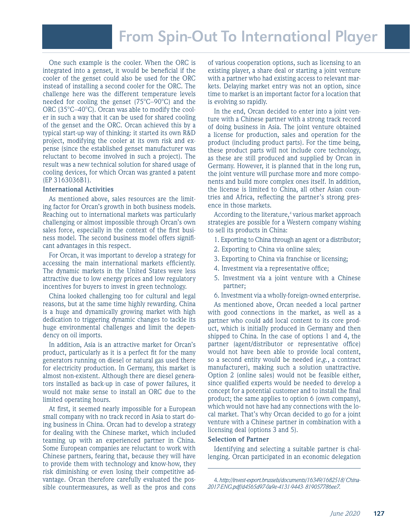One such example is the cooler. When the ORC is integrated into a genset, it would be beneficial if the cooler of the genset could also be used for the ORC instead of installing a second cooler for the ORC. The challenge here was the different temperature levels needed for cooling the genset (75°C–90°C) and the ORC (35°C–40°C). Orcan was able to modify the cooler in such a way that it can be used for shared cooling of the genset and the ORC. Orcan achieved this by a typical start-up way of thinking: it started its own R&D project, modifying the cooler at its own risk and expense (since the established genset manufacturer was reluctant to become involved in such a project). The result was a new technical solution for shared usage of cooling devices, for which Orcan was granted a patent (EP 3163036B1).

#### **International Activities**

As mentioned above, sales resources are the limiting factor for Orcan's growth in both business models. Reaching out to international markets was particularly challenging or almost impossible through Orcan's own sales force, especially in the context of the first business model. The second business model offers significant advantages in this respect.

For Orcan, it was important to develop a strategy for accessing the main international markets efficiently. The dynamic markets in the United States were less attractive due to low energy prices and low regulatory incentives for buyers to invest in green technology.

China looked challenging too for cultural and legal reasons, but at the same time highly rewarding. China is a huge and dynamically growing market with high dedication to triggering dynamic changes to tackle its huge environmental challenges and limit the dependency on oil imports.

In addition, Asia is an attractive market for Orcan's product, particularly as it is a perfect fit for the many generators running on diesel or natural gas used there for electricity production. In Germany, this market is almost non-existent. Although there are diesel generators installed as back-up in case of power failures, it would not make sense to install an ORC due to the limited operating hours.

At first, it seemed nearly impossible for a European small company with no track record in Asia to start doing business in China. Orcan had to develop a strategy for dealing with the Chinese market, which included teaming up with an experienced partner in China. Some European companies are reluctant to work with Chinese partners, fearing that, because they will have to provide them with technology and know-how, they risk diminishing or even losing their competitive advantage. Orcan therefore carefully evaluated the possible countermeasures, as well as the pros and cons of various cooperation options, such as licensing to an existing player, a share deal or starting a joint venture with a partner who had existing access to relevant markets. Delaying market entry was not an option, since time to market is an important factor for a location that is evolving so rapidly.

In the end, Orcan decided to enter into a joint venture with a Chinese partner with a strong track record of doing business in Asia. The joint venture obtained a license for production, sales and operation for the product (including product parts). For the time being, these product parts will not include core technology, as these are still produced and supplied by Orcan in Germany. However, it is planned that in the long run, the joint venture will purchase more and more components and build more complex ones itself. In addition, the license is limited to China, all other Asian countries and Africa, reflecting the partner's strong presence in those markets.

According to the literature,<sup>4</sup> various market approach strategies are possible for a Western company wishing to sell its products in China:

- 1. Exporting to China through an agent or a distributor;
- 2. Exporting to China via online sales;
- 3. Exporting to China via franchise or licensing;
- 4. Investment via a representative office;
- 5. Investment via a joint venture with a Chinese partner;
- 6. Investment via a wholly-foreign-owned enterprise.

As mentioned above, Orcan needed a local partner with good connections in the market, as well as a partner who could add local content to its core product, which is initially produced in Germany and then shipped to China. In the case of options 1 and 4, the partner (agent/distributor or representative office) would not have been able to provide local content, so a second entity would be needed (*e.g.*, a contract manufacturer), making such a solution unattractive. Option 2 (online sales) would not be feasible either, since qualified experts would be needed to develop a concept for a potential customer and to install the final product; the same applies to option 6 (own company), which would not have had any connections with the local market. That's why Orcan decided to go for a joint venture with a Chinese partner in combination with a licensing deal (options 3 and 5).

#### **Selection of Partner**

Identifying and selecting a suitable partner is challenging. Orcan participated in an economic delegation

<sup>4.</sup> *http://invest-export.brussels/documents/16349/1682518/ China-2017-ENG.pdf/d4565d97-0a9e-4131-9443- 819057786ee7.*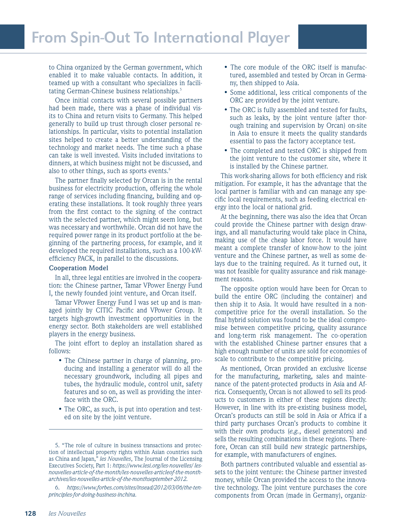to China organized by the German government, which enabled it to make valuable contacts. In addition, it teamed up with a consultant who specializes in facilitating German-Chinese business relationships.<sup>5</sup>

Once initial contacts with several possible partners had been made, there was a phase of individual visits to China and return visits to Germany. This helped generally to build up trust through closer personal relationships. In particular, visits to potential installation sites helped to create a better understanding of the technology and market needs. The time such a phase can take is well invested. Visits included invitations to dinners, at which business might not be discussed, and also to other things, such as sports events.<sup>6</sup>

The partner finally selected by Orcan is in the rental business for electricity production, offering the whole range of services including financing, building and operating these installations. It took roughly three years from the first contact to the signing of the contract with the selected partner, which might seem long, but was necessary and worthwhile. Orcan did not have the required power range in its product portfolio at the beginning of the partnering process, for example, and it developed the required installations, such as a 100-kWefficiency PACK, in parallel to the discussions.

#### **Cooperation Model**

In all, three legal entities are involved in the cooperation: the Chinese partner, Tamar VPower Energy Fund I, the newly founded joint venture, and Orcan itself.

Tamar VPower Energy Fund I was set up and is managed jointly by CITIC Pacific and VPower Group. It targets high-growth investment opportunities in the energy sector. Both stakeholders are well established players in the energy business.

The joint effort to deploy an installation shared as follows:

- The Chinese partner in charge of planning, producing and installing a generator will do all the necessary groundwork, including all pipes and tubes, the hydraulic module, control unit, safety features and so on, as well as providing the interface with the ORC.
- The ORC, as such, is put into operation and tested on site by the joint venture.
- The core module of the ORC itself is manufactured, assembled and tested by Orcan in Germany, then shipped to Asia.
- Some additional, less critical components of the ORC are provided by the joint venture.
- The ORC is fully assembled and tested for faults, such as leaks, by the joint venture (after thorough training and supervision by Orcan) on-site in Asia to ensure it meets the quality standards essential to pass the factory acceptance test.
- The completed and tested ORC is shipped from the joint venture to the customer site, where it is installed by the Chinese partner.

This work-sharing allows for both efficiency and risk mitigation. For example, it has the advantage that the local partner is familiar with and can manage any specific local requirements, such as feeding electrical energy into the local or national grid.

At the beginning, there was also the idea that Orcan could provide the Chinese partner with design drawings, and all manufacturing would take place in China, making use of the cheap labor force. It would have meant a complete transfer of know-how to the joint venture and the Chinese partner, as well as some delays due to the training required. As it turned out, it was not feasible for quality assurance and risk management reasons.

The opposite option would have been for Orcan to build the entire ORC (including the container) and then ship it to Asia. It would have resulted in a noncompetitive price for the overall installation. So the final hybrid solution was found to be the ideal compromise between competitive pricing, quality assurance and long-term risk management. The co-operation with the established Chinese partner ensures that a high enough number of units are sold for economies of scale to contribute to the competitive pricing.

As mentioned, Orcan provided an exclusive license for the manufacturing, marketing, sales and maintenance of the patent-protected products in Asia and Africa. Consequently, Orcan is not allowed to sell its products to customers in either of these regions directly. However, in line with its pre-existing business model, Orcan's products can still be sold in Asia or Africa if a third party purchases Orcan's products to combine it with their own products (*e.g.*, diesel generators) and sells the resulting combinations in these regions. Therefore, Orcan can still build new strategic partnerships, for example, with manufacturers of engines.

Both partners contributed valuable and essential assets to the joint venture: the Chinese partner invested money, while Orcan provided the access to the innovative technology. The joint venture purchases the core components from Orcan (made in Germany), organiz-

<sup>5. &</sup>quot;The role of culture in business transactions and protection of intellectual property rights within Asian countries such as China and Japan," *les Nouvelles*, The Journal of the Licensing Executives Society, Part 1: *https://www.lesi.org/les-nouvelles/ lesnouvelles-article-of-the-month/les-nouvelles-articleof-the-montharchives/les-nouvelles-article-of-the-monthseptember-2012.* 

<sup>6.</sup> *https://www.forbes.com/sites/insead/2012/03/06/the-tenprinciples-for-doing-business-inchina.*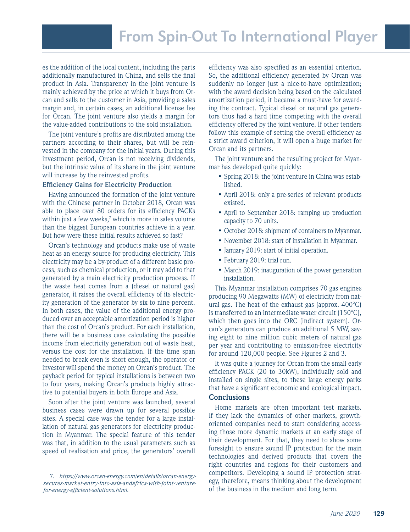es the addition of the local content, including the parts additionally manufactured in China, and sells the final product in Asia. Transparency in the joint venture is mainly achieved by the price at which it buys from Orcan and sells to the customer in Asia, providing a sales margin and, in certain cases, an additional license fee for Orcan. The joint venture also yields a margin for the value-added contributions to the sold installation.

The joint venture's profits are distributed among the partners according to their shares, but will be reinvested in the company for the initial years. During this investment period, Orcan is not receiving dividends, but the intrinsic value of its share in the joint venture will increase by the reinvested profits.

#### **Efficiency Gains for Electricity Production**

Having announced the formation of the joint venture with the Chinese partner in October 2018, Orcan was able to place over 80 orders for its efficiency PACKs within just a few weeks, $^7$  which is more in sales volume than the biggest European countries achieve in a year. But how were these initial results achieved so fast?

Orcan's technology and products make use of waste heat as an energy source for producing electricity. This electricity may be a by-product of a different basic process, such as chemical production, or it may add to that generated by a main electricity production process. If the waste heat comes from a (diesel or natural gas) generator, it raises the overall efficiency of its electricity generation of the generator by six to nine percent. In both cases, the value of the additional energy produced over an acceptable amortization period is higher than the cost of Orcan's product. For each installation, there will be a business case calculating the possible income from electricity generation out of waste heat, versus the cost for the installation. If the time span needed to break even is short enough, the operator or investor will spend the money on Orcan's product. The payback period for typical installations is between two to four years, making Orcan's products highly attractive to potential buyers in both Europe and Asia.

Soon after the joint venture was launched, several business cases were drawn up for several possible sites. A special case was the tender for a large installation of natural gas generators for electricity production in Myanmar. The special feature of this tender was that, in addition to the usual parameters such as speed of realization and price, the generators' overall

efficiency was also specified as an essential criterion. So, the additional efficiency generated by Orcan was suddenly no longer just a nice-to-have optimization; with the award decision being based on the calculated amortization period, it became a must-have for awarding the contract. Typical diesel or natural gas generators thus had a hard time competing with the overall efficiency offered by the joint venture. If other tenders follow this example of setting the overall efficiency as a strict award criterion, it will open a huge market for Orcan and its partners.

The joint venture and the resulting project for Myanmar has developed quite quickly:

- Spring 2018: the joint venture in China was established.
- April 2018: only a pre-series of relevant products existed.
- April to September 2018: ramping up production capacity to 70 units.
- October 2018: shipment of containers to Myanmar.
- November 2018: start of installation in Myanmar.
- January 2019: start of initial operation.
- February 2019: trial run.
- March 2019: inauguration of the power generation installation.

This Myanmar installation comprises 70 gas engines producing 90 Megawatts (MW) of electricity from natural gas. The heat of the exhaust gas (approx. 400°C) is transferred to an intermediate water circuit  $(150^{\circ}C)$ , which then goes into the ORC (indirect system). Orcan's generators can produce an additional 5 MW, saving eight to nine million cubic meters of natural gas per year and contributing to emission-free electricity for around 120,000 people. See Figures 2 and 3.

It was quite a journey for Orcan from the small early efficiency PACK (20 to 30kW), individually sold and installed on single sites, to these large energy parks that have a significant economic and ecological impact.

# **Conclusions**

Home markets are often important test markets. If they lack the dynamics of other markets, growthoriented companies need to start considering accessing those more dynamic markets at an early stage of their development. For that, they need to show some foresight to ensure sound IP protection for the main technologies and derived products that covers the right countries and regions for their customers and competitors. Developing a sound IP protection strategy, therefore, means thinking about the development of the business in the medium and long term.

<sup>7.</sup> *https://www.orcan-energy.com/en/details/orcan-energysecures-market-entry-into-asia-andafrica-with-joint-venturefor-energy-efficient-solutions.html.*